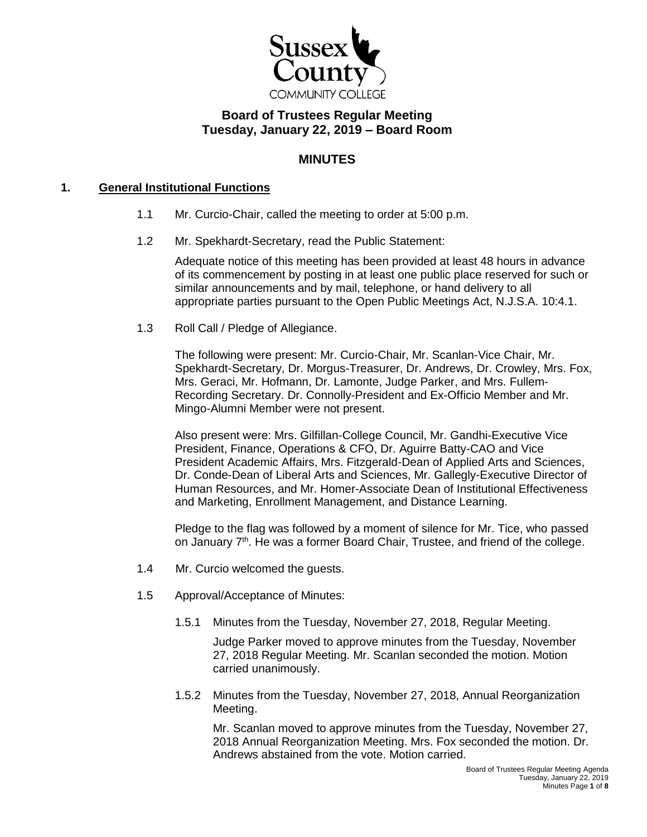

# **Board of Trustees Regular Meeting Tuesday, January 22, 2019 – Board Room**

# **MINUTES**

### **1. General Institutional Functions**

- 1.1 Mr. Curcio-Chair, called the meeting to order at 5:00 p.m.
- 1.2 Mr. Spekhardt-Secretary, read the Public Statement:

Adequate notice of this meeting has been provided at least 48 hours in advance of its commencement by posting in at least one public place reserved for such or similar announcements and by mail, telephone, or hand delivery to all appropriate parties pursuant to the Open Public Meetings Act, N.J.S.A. 10:4.1.

1.3 Roll Call / Pledge of Allegiance.

The following were present: Mr. Curcio-Chair, Mr. Scanlan-Vice Chair, Mr. Spekhardt-Secretary, Dr. Morgus-Treasurer, Dr. Andrews, Dr. Crowley, Mrs. Fox, Mrs. Geraci, Mr. Hofmann, Dr. Lamonte, Judge Parker, and Mrs. Fullem-Recording Secretary. Dr. Connolly-President and Ex-Officio Member and Mr. Mingo-Alumni Member were not present.

Also present were: Mrs. Gilfillan-College Council, Mr. Gandhi-Executive Vice President, Finance, Operations & CFO, Dr. Aguirre Batty-CAO and Vice President Academic Affairs, Mrs. Fitzgerald-Dean of Applied Arts and Sciences, Dr. Conde-Dean of Liberal Arts and Sciences, Mr. Gallegly-Executive Director of Human Resources, and Mr. Homer-Associate Dean of Institutional Effectiveness and Marketing, Enrollment Management, and Distance Learning.

Pledge to the flag was followed by a moment of silence for Mr. Tice, who passed on January 7<sup>th</sup>. He was a former Board Chair, Trustee, and friend of the college.

- 1.4 Mr. Curcio welcomed the guests.
- 1.5 Approval/Acceptance of Minutes:
	- 1.5.1 Minutes from the Tuesday, November 27, 2018, Regular Meeting.

Judge Parker moved to approve minutes from the Tuesday, November 27, 2018 Regular Meeting. Mr. Scanlan seconded the motion. Motion carried unanimously.

1.5.2 Minutes from the Tuesday, November 27, 2018, Annual Reorganization Meeting.

Mr. Scanlan moved to approve minutes from the Tuesday, November 27, 2018 Annual Reorganization Meeting. Mrs. Fox seconded the motion. Dr. Andrews abstained from the vote. Motion carried.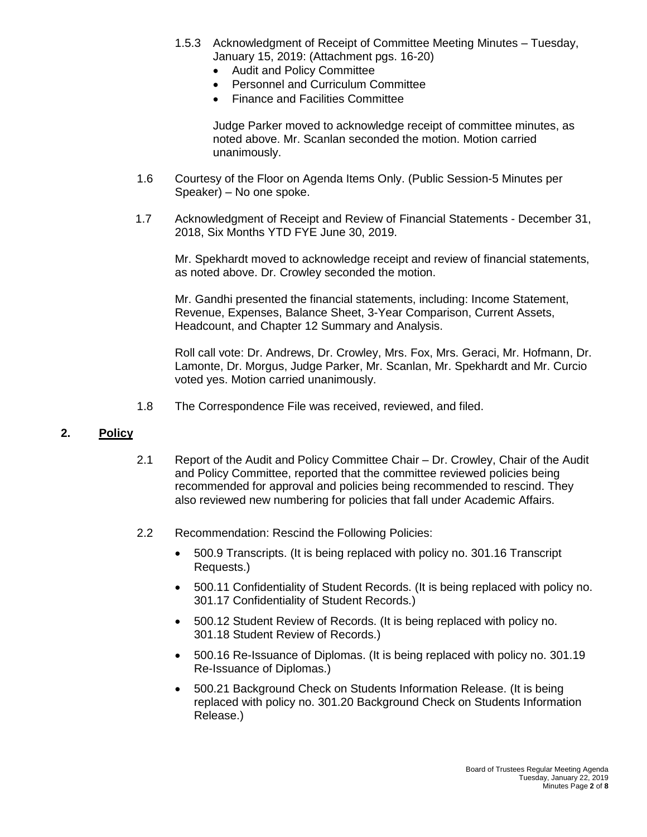- 1.5.3 Acknowledgment of Receipt of Committee Meeting Minutes Tuesday, January 15, 2019: (Attachment pgs. 16-20)
	- Audit and Policy Committee
	- Personnel and Curriculum Committee
	- Finance and Facilities Committee

Judge Parker moved to acknowledge receipt of committee minutes, as noted above. Mr. Scanlan seconded the motion. Motion carried unanimously.

- 1.6 Courtesy of the Floor on Agenda Items Only. (Public Session-5 Minutes per Speaker) – No one spoke.
- 1.7 Acknowledgment of Receipt and Review of Financial Statements December 31, 2018, Six Months YTD FYE June 30, 2019.

Mr. Spekhardt moved to acknowledge receipt and review of financial statements, as noted above. Dr. Crowley seconded the motion.

Mr. Gandhi presented the financial statements, including: Income Statement, Revenue, Expenses, Balance Sheet, 3-Year Comparison, Current Assets, Headcount, and Chapter 12 Summary and Analysis.

Roll call vote: Dr. Andrews, Dr. Crowley, Mrs. Fox, Mrs. Geraci, Mr. Hofmann, Dr. Lamonte, Dr. Morgus, Judge Parker, Mr. Scanlan, Mr. Spekhardt and Mr. Curcio voted yes. Motion carried unanimously.

1.8 The Correspondence File was received, reviewed, and filed.

### **2. Policy**

- 2.1 Report of the Audit and Policy Committee Chair Dr. Crowley, Chair of the Audit and Policy Committee, reported that the committee reviewed policies being recommended for approval and policies being recommended to rescind. They also reviewed new numbering for policies that fall under Academic Affairs.
- 2.2 Recommendation: Rescind the Following Policies:
	- 500.9 Transcripts. (It is being replaced with policy no. 301.16 Transcript Requests.)
	- 500.11 Confidentiality of Student Records. (It is being replaced with policy no. 301.17 Confidentiality of Student Records.)
	- 500.12 Student Review of Records. (It is being replaced with policy no. 301.18 Student Review of Records.)
	- 500.16 Re-Issuance of Diplomas. (It is being replaced with policy no. 301.19 Re-Issuance of Diplomas.)
	- 500.21 Background Check on Students Information Release. (It is being replaced with policy no. 301.20 Background Check on Students Information Release.)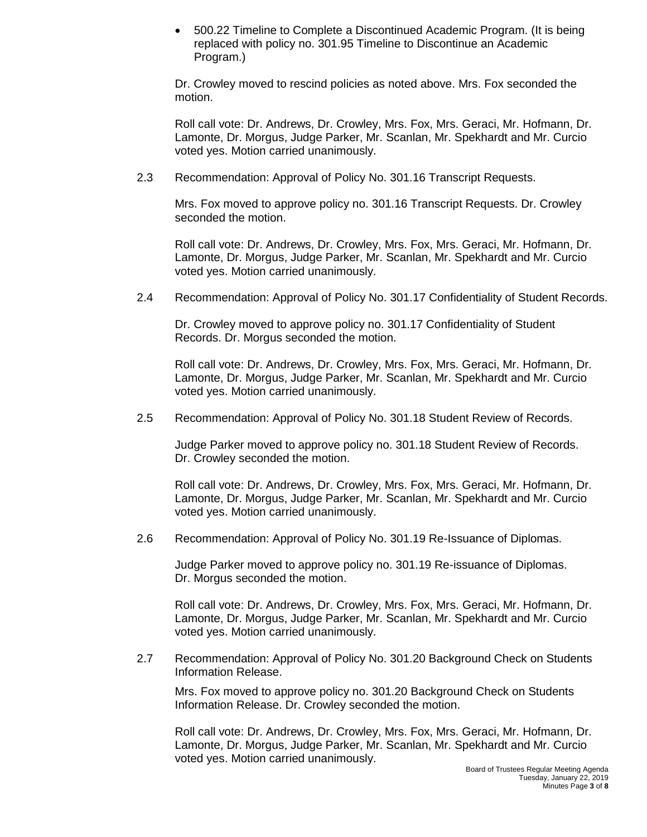500.22 Timeline to Complete a Discontinued Academic Program. (It is being replaced with policy no. 301.95 Timeline to Discontinue an Academic Program.)

Dr. Crowley moved to rescind policies as noted above. Mrs. Fox seconded the motion.

Roll call vote: Dr. Andrews, Dr. Crowley, Mrs. Fox, Mrs. Geraci, Mr. Hofmann, Dr. Lamonte, Dr. Morgus, Judge Parker, Mr. Scanlan, Mr. Spekhardt and Mr. Curcio voted yes. Motion carried unanimously.

2.3 Recommendation: Approval of Policy No. 301.16 Transcript Requests.

Mrs. Fox moved to approve policy no. 301.16 Transcript Requests. Dr. Crowley seconded the motion.

Roll call vote: Dr. Andrews, Dr. Crowley, Mrs. Fox, Mrs. Geraci, Mr. Hofmann, Dr. Lamonte, Dr. Morgus, Judge Parker, Mr. Scanlan, Mr. Spekhardt and Mr. Curcio voted yes. Motion carried unanimously.

2.4 Recommendation: Approval of Policy No. 301.17 Confidentiality of Student Records.

Dr. Crowley moved to approve policy no. 301.17 Confidentiality of Student Records. Dr. Morgus seconded the motion.

Roll call vote: Dr. Andrews, Dr. Crowley, Mrs. Fox, Mrs. Geraci, Mr. Hofmann, Dr. Lamonte, Dr. Morgus, Judge Parker, Mr. Scanlan, Mr. Spekhardt and Mr. Curcio voted yes. Motion carried unanimously.

2.5 Recommendation: Approval of Policy No. 301.18 Student Review of Records.

Judge Parker moved to approve policy no. 301.18 Student Review of Records. Dr. Crowley seconded the motion.

Roll call vote: Dr. Andrews, Dr. Crowley, Mrs. Fox, Mrs. Geraci, Mr. Hofmann, Dr. Lamonte, Dr. Morgus, Judge Parker, Mr. Scanlan, Mr. Spekhardt and Mr. Curcio voted yes. Motion carried unanimously.

2.6 Recommendation: Approval of Policy No. 301.19 Re-Issuance of Diplomas.

Judge Parker moved to approve policy no. 301.19 Re-issuance of Diplomas. Dr. Morgus seconded the motion.

Roll call vote: Dr. Andrews, Dr. Crowley, Mrs. Fox, Mrs. Geraci, Mr. Hofmann, Dr. Lamonte, Dr. Morgus, Judge Parker, Mr. Scanlan, Mr. Spekhardt and Mr. Curcio voted yes. Motion carried unanimously.

2.7 Recommendation: Approval of Policy No. 301.20 Background Check on Students Information Release.

Mrs. Fox moved to approve policy no. 301.20 Background Check on Students Information Release. Dr. Crowley seconded the motion.

Roll call vote: Dr. Andrews, Dr. Crowley, Mrs. Fox, Mrs. Geraci, Mr. Hofmann, Dr. Lamonte, Dr. Morgus, Judge Parker, Mr. Scanlan, Mr. Spekhardt and Mr. Curcio voted yes. Motion carried unanimously.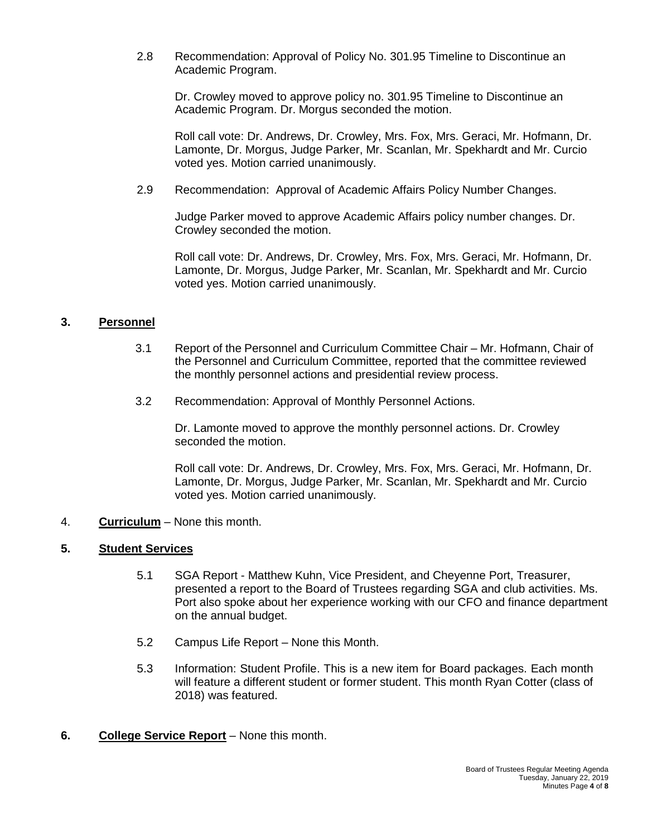2.8 Recommendation: Approval of Policy No. 301.95 Timeline to Discontinue an Academic Program.

Dr. Crowley moved to approve policy no. 301.95 Timeline to Discontinue an Academic Program. Dr. Morgus seconded the motion.

Roll call vote: Dr. Andrews, Dr. Crowley, Mrs. Fox, Mrs. Geraci, Mr. Hofmann, Dr. Lamonte, Dr. Morgus, Judge Parker, Mr. Scanlan, Mr. Spekhardt and Mr. Curcio voted yes. Motion carried unanimously.

2.9 Recommendation: Approval of Academic Affairs Policy Number Changes.

Judge Parker moved to approve Academic Affairs policy number changes. Dr. Crowley seconded the motion.

Roll call vote: Dr. Andrews, Dr. Crowley, Mrs. Fox, Mrs. Geraci, Mr. Hofmann, Dr. Lamonte, Dr. Morgus, Judge Parker, Mr. Scanlan, Mr. Spekhardt and Mr. Curcio voted yes. Motion carried unanimously.

### **3. Personnel**

- 3.1 Report of the Personnel and Curriculum Committee Chair Mr. Hofmann, Chair of the Personnel and Curriculum Committee, reported that the committee reviewed the monthly personnel actions and presidential review process.
- 3.2 Recommendation: Approval of Monthly Personnel Actions.

Dr. Lamonte moved to approve the monthly personnel actions. Dr. Crowley seconded the motion.

Roll call vote: Dr. Andrews, Dr. Crowley, Mrs. Fox, Mrs. Geraci, Mr. Hofmann, Dr. Lamonte, Dr. Morgus, Judge Parker, Mr. Scanlan, Mr. Spekhardt and Mr. Curcio voted yes. Motion carried unanimously.

4. **Curriculum** – None this month.

### **5. Student Services**

- 5.1 SGA Report Matthew Kuhn, Vice President, and Cheyenne Port, Treasurer, presented a report to the Board of Trustees regarding SGA and club activities. Ms. Port also spoke about her experience working with our CFO and finance department on the annual budget.
- 5.2 Campus Life Report None this Month.
- 5.3 Information: Student Profile. This is a new item for Board packages. Each month will feature a different student or former student. This month Ryan Cotter (class of 2018) was featured.
- **6. College Service Report** None this month.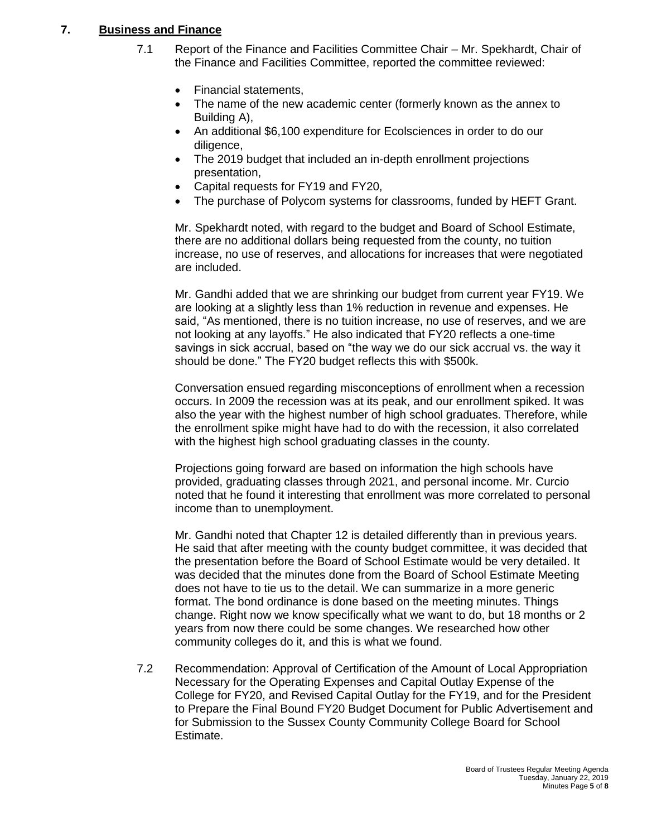#### **7. Business and Finance**  $\overline{7}$ .

- 7.1 Report of the Finance and Facilities Committee Chair Mr. Spekhardt, Chair of the Finance and Facilities Committee, reported the committee reviewed:
	- Financial statements,
	- The name of the new academic center (formerly known as the annex to Building A),
	- An additional \$6,100 expenditure for Ecolsciences in order to do our diligence,
	- The 2019 budget that included an in-depth enrollment projections presentation,
	- Capital requests for FY19 and FY20,
	- The purchase of Polycom systems for classrooms, funded by HEFT Grant.

Mr. Spekhardt noted, with regard to the budget and Board of School Estimate, there are no additional dollars being requested from the county, no tuition increase, no use of reserves, and allocations for increases that were negotiated are included.

Mr. Gandhi added that we are shrinking our budget from current year FY19. We are looking at a slightly less than 1% reduction in revenue and expenses. He said, "As mentioned, there is no tuition increase, no use of reserves, and we are not looking at any layoffs." He also indicated that FY20 reflects a one-time savings in sick accrual, based on "the way we do our sick accrual vs. the way it should be done." The FY20 budget reflects this with \$500k.

Conversation ensued regarding misconceptions of enrollment when a recession occurs. In 2009 the recession was at its peak, and our enrollment spiked. It was also the year with the highest number of high school graduates. Therefore, while the enrollment spike might have had to do with the recession, it also correlated with the highest high school graduating classes in the county.

Projections going forward are based on information the high schools have provided, graduating classes through 2021, and personal income. Mr. Curcio noted that he found it interesting that enrollment was more correlated to personal income than to unemployment.

Mr. Gandhi noted that Chapter 12 is detailed differently than in previous years. He said that after meeting with the county budget committee, it was decided that the presentation before the Board of School Estimate would be very detailed. It was decided that the minutes done from the Board of School Estimate Meeting does not have to tie us to the detail. We can summarize in a more generic format. The bond ordinance is done based on the meeting minutes. Things change. Right now we know specifically what we want to do, but 18 months or 2 years from now there could be some changes. We researched how other community colleges do it, and this is what we found.

7.2 Recommendation: Approval of Certification of the Amount of Local Appropriation Necessary for the Operating Expenses and Capital Outlay Expense of the College for FY20, and Revised Capital Outlay for the FY19, and for the President to Prepare the Final Bound FY20 Budget Document for Public Advertisement and for Submission to the Sussex County Community College Board for School Estimate.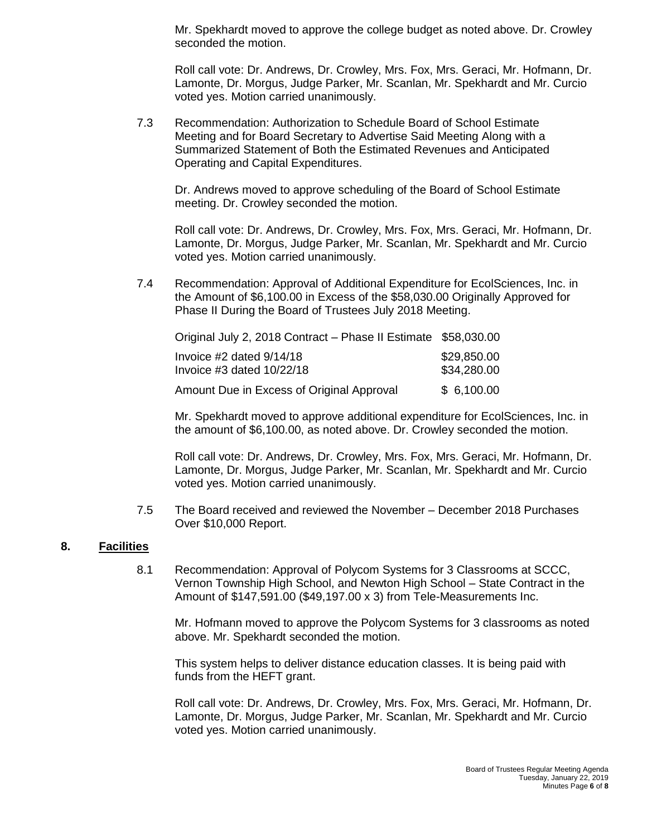Mr. Spekhardt moved to approve the college budget as noted above. Dr. Crowley seconded the motion.

Roll call vote: Dr. Andrews, Dr. Crowley, Mrs. Fox, Mrs. Geraci, Mr. Hofmann, Dr. Lamonte, Dr. Morgus, Judge Parker, Mr. Scanlan, Mr. Spekhardt and Mr. Curcio voted yes. Motion carried unanimously.

7.3 Recommendation: Authorization to Schedule Board of School Estimate Meeting and for Board Secretary to Advertise Said Meeting Along with a Summarized Statement of Both the Estimated Revenues and Anticipated Operating and Capital Expenditures.

Dr. Andrews moved to approve scheduling of the Board of School Estimate meeting. Dr. Crowley seconded the motion.

Roll call vote: Dr. Andrews, Dr. Crowley, Mrs. Fox, Mrs. Geraci, Mr. Hofmann, Dr. Lamonte, Dr. Morgus, Judge Parker, Mr. Scanlan, Mr. Spekhardt and Mr. Curcio voted yes. Motion carried unanimously.

7.4 Recommendation: Approval of Additional Expenditure for EcolSciences, Inc. in the Amount of \$6,100.00 in Excess of the \$58,030.00 Originally Approved for Phase II During the Board of Trustees July 2018 Meeting.

| Original July 2, 2018 Contract - Phase II Estimate \$58,030.00 |             |
|----------------------------------------------------------------|-------------|
| Invoice $#2$ dated $9/14/18$                                   | \$29,850.00 |
| Invoice $#3$ dated $10/22/18$                                  | \$34,280.00 |
| Amount Due in Excess of Original Approval                      | \$6,100.00  |

Mr. Spekhardt moved to approve additional expenditure for EcolSciences, Inc. in the amount of \$6,100.00, as noted above. Dr. Crowley seconded the motion.

Roll call vote: Dr. Andrews, Dr. Crowley, Mrs. Fox, Mrs. Geraci, Mr. Hofmann, Dr. Lamonte, Dr. Morgus, Judge Parker, Mr. Scanlan, Mr. Spekhardt and Mr. Curcio voted yes. Motion carried unanimously.

7.5 The Board received and reviewed the November – December 2018 Purchases Over \$10,000 Report.

### **8. Facilities**

8.1 Recommendation: Approval of Polycom Systems for 3 Classrooms at SCCC, Vernon Township High School, and Newton High School – State Contract in the Amount of \$147,591.00 (\$49,197.00 x 3) from Tele-Measurements Inc.

Mr. Hofmann moved to approve the Polycom Systems for 3 classrooms as noted above. Mr. Spekhardt seconded the motion.

This system helps to deliver distance education classes. It is being paid with funds from the HEFT grant.

Roll call vote: Dr. Andrews, Dr. Crowley, Mrs. Fox, Mrs. Geraci, Mr. Hofmann, Dr. Lamonte, Dr. Morgus, Judge Parker, Mr. Scanlan, Mr. Spekhardt and Mr. Curcio voted yes. Motion carried unanimously.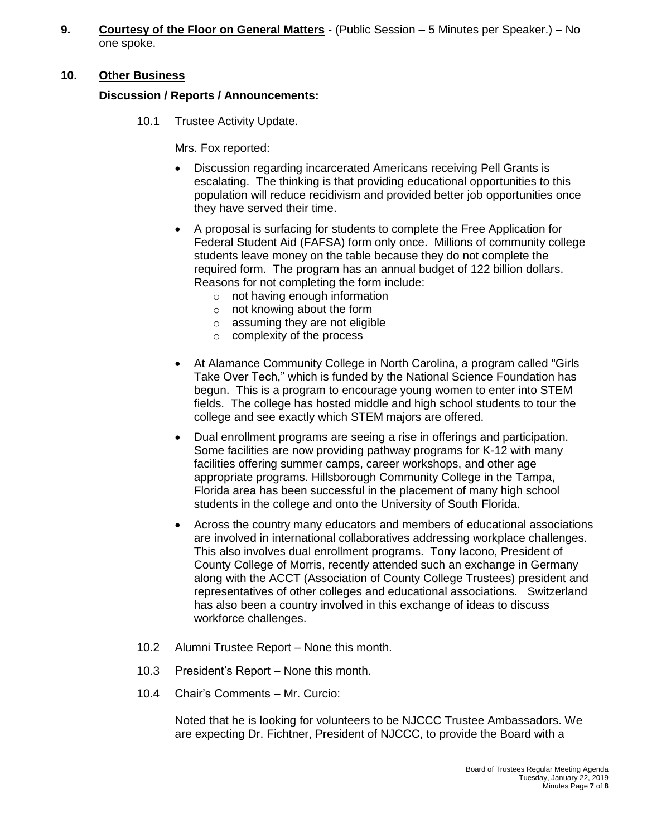**9. Courtesy of the Floor on General Matters** - (Public Session – 5 Minutes per Speaker.) – No one spoke.

## **10. Other Business**

## **Discussion / Reports / Announcements:**

10.1 Trustee Activity Update.

Mrs. Fox reported:

- Discussion regarding incarcerated Americans receiving Pell Grants is escalating. The thinking is that providing educational opportunities to this population will reduce recidivism and provided better job opportunities once they have served their time.
- A proposal is surfacing for students to complete the Free Application for Federal Student Aid (FAFSA) form only once. Millions of community college students leave money on the table because they do not complete the required form. The program has an annual budget of 122 billion dollars. Reasons for not completing the form include:
	- o not having enough information
	- o not knowing about the form
	- $\circ$  assuming they are not eligible
	- o complexity of the process
- At Alamance Community College in North Carolina, a program called "Girls Take Over Tech," which is funded by the National Science Foundation has begun. This is a program to encourage young women to enter into STEM fields. The college has hosted middle and high school students to tour the college and see exactly which STEM majors are offered.
- Dual enrollment programs are seeing a rise in offerings and participation. Some facilities are now providing pathway programs for K-12 with many facilities offering summer camps, career workshops, and other age appropriate programs. Hillsborough Community College in the Tampa, Florida area has been successful in the placement of many high school students in the college and onto the University of South Florida.
- Across the country many educators and members of educational associations are involved in international collaboratives addressing workplace challenges. This also involves dual enrollment programs. Tony Iacono, President of County College of Morris, recently attended such an exchange in Germany along with the ACCT (Association of County College Trustees) president and representatives of other colleges and educational associations. Switzerland has also been a country involved in this exchange of ideas to discuss workforce challenges.
- 10.2 Alumni Trustee Report None this month.
- 10.3 President's Report None this month.
- 10.4 Chair's Comments Mr. Curcio:

Noted that he is looking for volunteers to be NJCCC Trustee Ambassadors. We are expecting Dr. Fichtner, President of NJCCC, to provide the Board with a